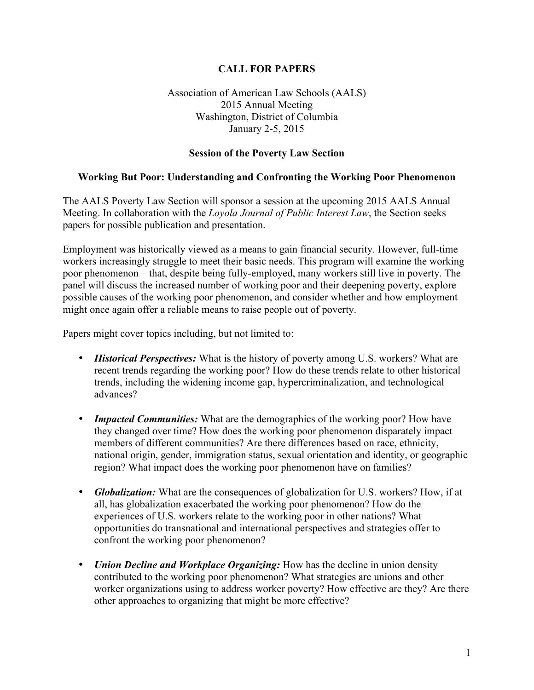## **CALL FOR PAPERS**

## Association of American Law Schools (AALS) 2015 Annual Meeting Washington, District of Columbia January 2-5, 2015

### **Session of the Poverty Law Section**

#### **Working But Poor: Understanding and Confronting the Working Poor Phenomenon**

The AALS Poverty Law Section will sponsor a session at the upcoming 2015 AALS Annual Meeting. In collaboration with the *Loyola Journal of Public Interest Law*, the Section seeks papers for possible publication and presentation.

Employment was historically viewed as a means to gain financial security. However, full-time workers increasingly struggle to meet their basic needs. This program will examine the working poor phenomenon – that, despite being fully-employed, many workers still live in poverty. The panel will discuss the increased number of working poor and their deepening poverty, explore possible causes of the working poor phenomenon, and consider whether and how employment might once again offer a reliable means to raise people out of poverty.

Papers might cover topics including, but not limited to:

- *Historical Perspectives:* What is the history of poverty among U.S. workers? What are recent trends regarding the working poor? How do these trends relate to other historical trends, including the widening income gap, hypercriminalization, and technological advances?
- *Impacted Communities:* What are the demographics of the working poor? How have they changed over time? How does the working poor phenomenon disparately impact members of different communities? Are there differences based on race, ethnicity, national origin, gender, immigration status, sexual orientation and identity, or geographic region? What impact does the working poor phenomenon have on families?
- *Globalization:* What are the consequences of globalization for U.S. workers? How, if at all, has globalization exacerbated the working poor phenomenon? How do the experiences of U.S. workers relate to the working poor in other nations? What opportunities do transnational and international perspectives and strategies offer to confront the working poor phenomenon?
- *Union Decline and Workplace Organizing:* How has the decline in union density contributed to the working poor phenomenon? What strategies are unions and other worker organizations using to address worker poverty? How effective are they? Are there other approaches to organizing that might be more effective?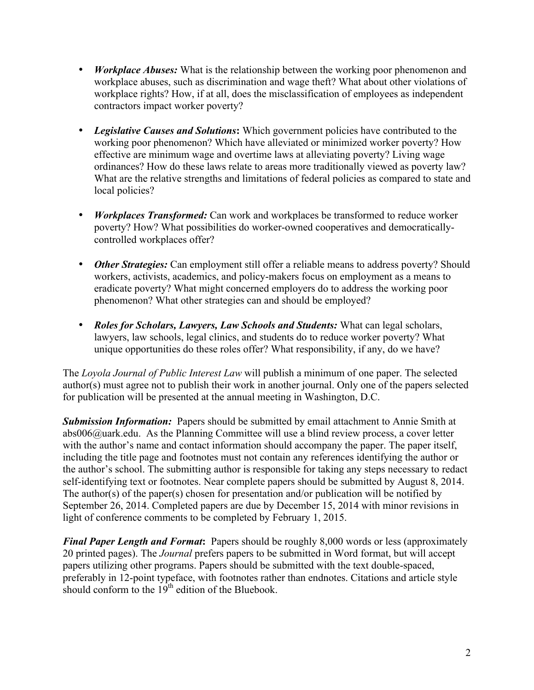- *Workplace Abuses:* What is the relationship between the working poor phenomenon and workplace abuses, such as discrimination and wage theft? What about other violations of workplace rights? How, if at all, does the misclassification of employees as independent contractors impact worker poverty?
- *Legislative Causes and Solutions***:** Which government policies have contributed to the working poor phenomenon? Which have alleviated or minimized worker poverty? How effective are minimum wage and overtime laws at alleviating poverty? Living wage ordinances? How do these laws relate to areas more traditionally viewed as poverty law? What are the relative strengths and limitations of federal policies as compared to state and local policies?
- *Workplaces Transformed:* Can work and workplaces be transformed to reduce worker poverty? How? What possibilities do worker-owned cooperatives and democraticallycontrolled workplaces offer?
- *Other Strategies:* Can employment still offer a reliable means to address poverty? Should workers, activists, academics, and policy-makers focus on employment as a means to eradicate poverty? What might concerned employers do to address the working poor phenomenon? What other strategies can and should be employed?
- *Roles for Scholars, Lawyers, Law Schools and Students:* What can legal scholars, lawyers, law schools, legal clinics, and students do to reduce worker poverty? What unique opportunities do these roles offer? What responsibility, if any, do we have?

The *Loyola Journal of Public Interest Law* will publish a minimum of one paper. The selected author(s) must agree not to publish their work in another journal. Only one of the papers selected for publication will be presented at the annual meeting in Washington, D.C.

*Submission Information:* Papers should be submitted by email attachment to Annie Smith at abs006@uark.edu. As the Planning Committee will use a blind review process, a cover letter with the author's name and contact information should accompany the paper. The paper itself, including the title page and footnotes must not contain any references identifying the author or the author's school. The submitting author is responsible for taking any steps necessary to redact self-identifying text or footnotes. Near complete papers should be submitted by August 8, 2014. The author(s) of the paper(s) chosen for presentation and/or publication will be notified by September 26, 2014. Completed papers are due by December 15, 2014 with minor revisions in light of conference comments to be completed by February 1, 2015.

*Final Paper Length and Format***:** Papers should be roughly 8,000 words or less (approximately 20 printed pages). The *Journal* prefers papers to be submitted in Word format, but will accept papers utilizing other programs. Papers should be submitted with the text double-spaced, preferably in 12-point typeface, with footnotes rather than endnotes. Citations and article style should conform to the  $19<sup>th</sup>$  edition of the Bluebook.